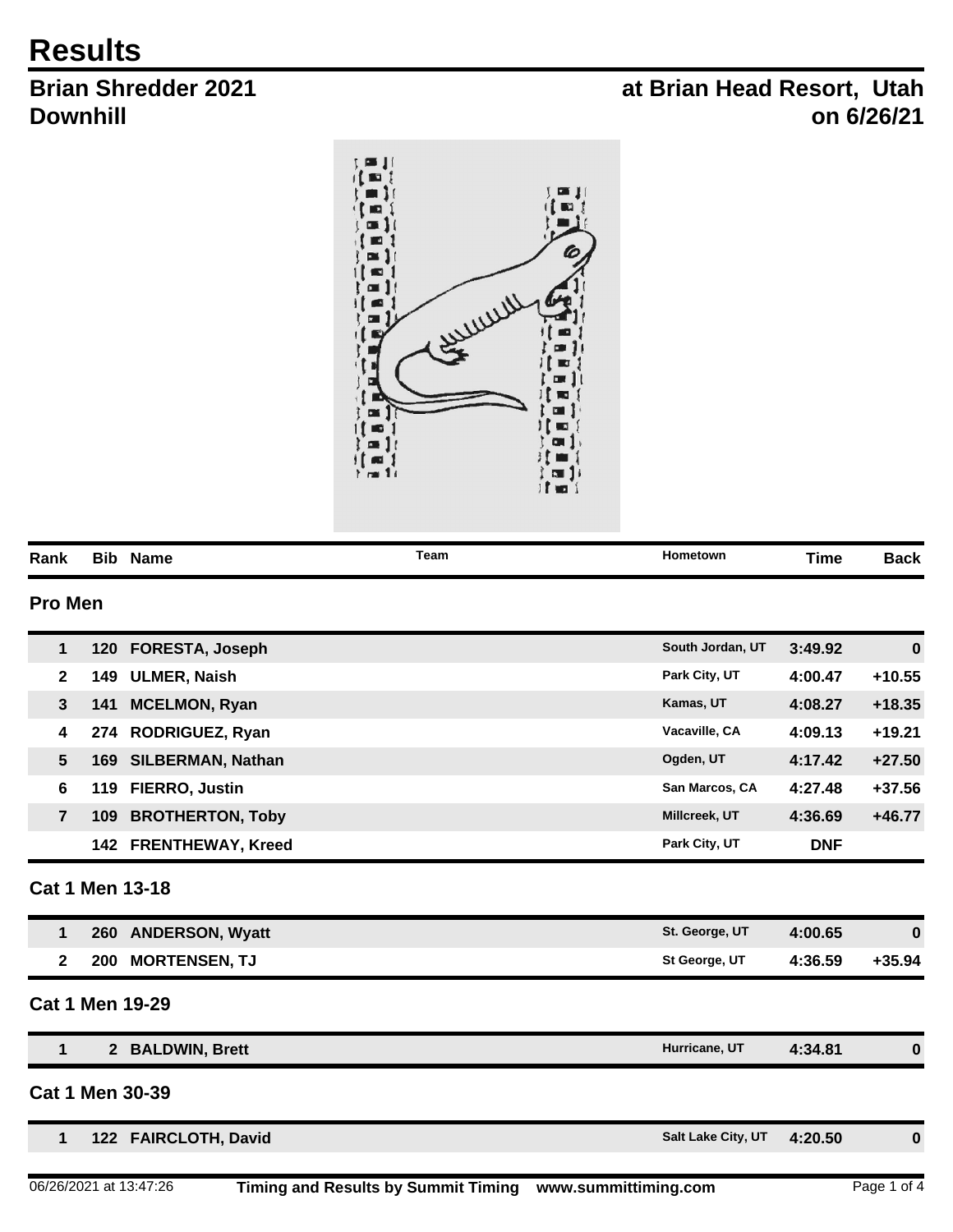## **Results**

## **Brian Shredder 2021 Downhill**

## **at Brian Head Resort, Utah on 6/26/21**



| Rank           |             | <b>Bib Name</b>          | Team | Hometown           | <b>Time</b> | <b>Back</b> |
|----------------|-------------|--------------------------|------|--------------------|-------------|-------------|
| <b>Pro Men</b> |             |                          |      |                    |             |             |
| $\mathbf{1}$   | 120         | <b>FORESTA, Joseph</b>   |      | South Jordan, UT   | 3:49.92     | $\bf{0}$    |
| $\mathbf{2}$   | 149         | <b>ULMER, Naish</b>      |      | Park City, UT      | 4:00.47     | $+10.55$    |
| $\mathbf{3}$   | 141         | <b>MCELMON, Ryan</b>     |      | Kamas, UT          | 4:08.27     | $+18.35$    |
| 4              | 274         | RODRIGUEZ, Ryan          |      | Vacaville, CA      | 4:09.13     | $+19.21$    |
| 5              | 169         | <b>SILBERMAN, Nathan</b> |      | Ogden, UT          | 4:17.42     | $+27.50$    |
| 6              | 119         | FIERRO, Justin           |      | San Marcos, CA     | 4:27.48     | $+37.56$    |
| $\overline{7}$ | 109         | <b>BROTHERTON, Toby</b>  |      | Millcreek, UT      | 4:36.69     | $+46.77$    |
|                | 142         | <b>FRENTHEWAY, Kreed</b> |      | Park City, UT      | <b>DNF</b>  |             |
|                |             | <b>Cat 1 Men 13-18</b>   |      |                    |             |             |
| $\mathbf{1}$   |             | 260 ANDERSON, Wyatt      |      | St. George, UT     | 4:00.65     | $\bf{0}$    |
| $\mathbf{2}$   | 200         | <b>MORTENSEN, TJ</b>     |      | St George, UT      | 4:36.59     | $+35.94$    |
|                |             | <b>Cat 1 Men 19-29</b>   |      |                    |             |             |
| 1              | $2^{\circ}$ | <b>BALDWIN, Brett</b>    |      | Hurricane, UT      | 4:34.81     | $\bf{0}$    |
|                |             | <b>Cat 1 Men 30-39</b>   |      |                    |             |             |
| $\mathbf{1}$   |             | 122 FAIRCLOTH, David     |      | Salt Lake City, UT | 4:20.50     | $\bf{0}$    |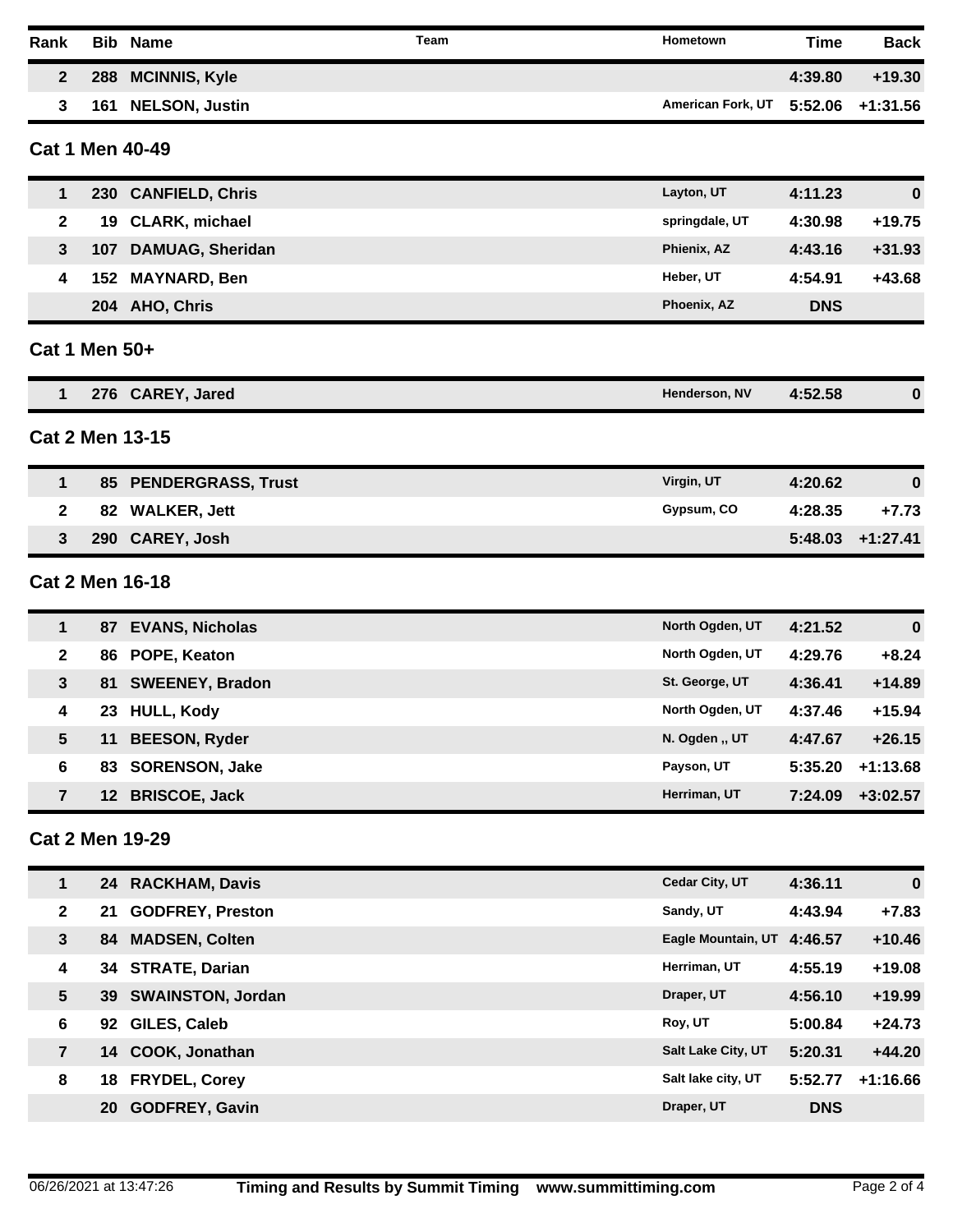| Rank                   | <b>Bib</b> | <b>Name</b>             | Team | Hometown          | <b>Time</b> | <b>Back</b>  |
|------------------------|------------|-------------------------|------|-------------------|-------------|--------------|
| $\mathbf{2}$           | 288        | <b>MCINNIS, Kyle</b>    |      |                   | 4:39.80     | $+19.30$     |
| 3                      |            | 161 NELSON, Justin      |      | American Fork, UT | 5:52.06     | $+1:31.56$   |
| <b>Cat 1 Men 40-49</b> |            |                         |      |                   |             |              |
| 1                      |            | 230 CANFIELD, Chris     |      | Layton, UT        | 4:11.23     | $\bf{0}$     |
| 2                      | 19         | <b>CLARK, michael</b>   |      | springdale, UT    | 4:30.98     | $+19.75$     |
| 3                      | 107        | <b>DAMUAG, Sheridan</b> |      | Phienix, AZ       | 4:43.16     | $+31.93$     |
| 4                      | 152        | <b>MAYNARD, Ben</b>     |      | Heber, UT         | 4:54.91     | +43.68       |
|                        |            | 204 AHO, Chris          |      | Phoenix, AZ       | <b>DNS</b>  |              |
| Cat 1 Men 50+          |            |                         |      |                   |             |              |
| 1                      |            | 276 CAREY, Jared        |      | Henderson, NV     | 4:52.58     | $\bf{0}$     |
| <b>Cat 2 Men 13-15</b> |            |                         |      |                   |             |              |
| 1                      |            | 85 PENDERGRASS, Trust   |      | Virgin, UT        | 4:20.62     | $\bf{0}$     |
| 2                      | 82         | <b>WALKER, Jett</b>     |      | Gypsum, CO        | 4:28.35     | $+7.73$      |
| 3                      |            | 290 CAREY, Josh         |      |                   | 5:48.03     | $+1:27.41$   |
| <b>Cat 2 Men 16-18</b> |            |                         |      |                   |             |              |
| 1                      |            | 87 EVANS, Nicholas      |      | North Ogden, UT   | 4:21.52     | $\bf{0}$     |
| $\mathbf{2}$           | 86         | POPE, Keaton            |      | North Ogden, UT   | 4:29.76     | $+8.24$      |
| 3                      | 81         | <b>SWEENEY, Bradon</b>  |      | St. George, UT    | 4:36.41     | $+14.89$     |
| 4                      | 23         | <b>HULL, Kody</b>       |      | North Ogden, UT   | 4:37.46     | $+15.94$     |
| $5\phantom{.0}$        |            | 11 BEESON, Ryder        |      | N. Ogden "UT      | 4:47.67     | $+26.15$     |
| 6                      |            | 83 SORENSON, Jake       |      | Payson, UT        | 5:35.20     | $+1:13.68$   |
| $\overline{7}$         |            | 12 BRISCOE, Jack        |      | Herriman, UT      | 7:24.09     | $+3:02.57$   |
| <b>Cat 2 Men 19-29</b> |            |                         |      |                   |             |              |
|                        |            | 24 <b>DACKHAM</b> Davie |      | Codar City IIT    | $A - 26$ 11 | $\mathbf{a}$ |

|                | 24 | <b>RACKHAM, Davis</b>    | Cedar City, UT            | 4:36.11    | $\bf{0}$   |
|----------------|----|--------------------------|---------------------------|------------|------------|
| $\mathbf{2}$   | 21 | <b>GODFREY, Preston</b>  | Sandy, UT                 | 4:43.94    | $+7.83$    |
| 3              | 84 | <b>MADSEN, Colten</b>    | Eagle Mountain, UT        | 4:46.57    | $+10.46$   |
| 4              |    | 34 STRATE, Darian        | Herriman, UT              | 4:55.19    | $+19.08$   |
| 5              | 39 | <b>SWAINSTON, Jordan</b> | Draper, UT                | 4:56.10    | $+19.99$   |
| 6              | 92 | GILES, Caleb             | Roy, UT                   | 5:00.84    | $+24.73$   |
| $\overline{7}$ | 14 | COOK, Jonathan           | <b>Salt Lake City, UT</b> | 5:20.31    | $+44.20$   |
| 8              | 18 | <b>FRYDEL, Corey</b>     | Salt lake city, UT        | 5:52.77    | $+1:16.66$ |
|                | 20 | <b>GODFREY, Gavin</b>    | Draper, UT                | <b>DNS</b> |            |
|                |    |                          |                           |            |            |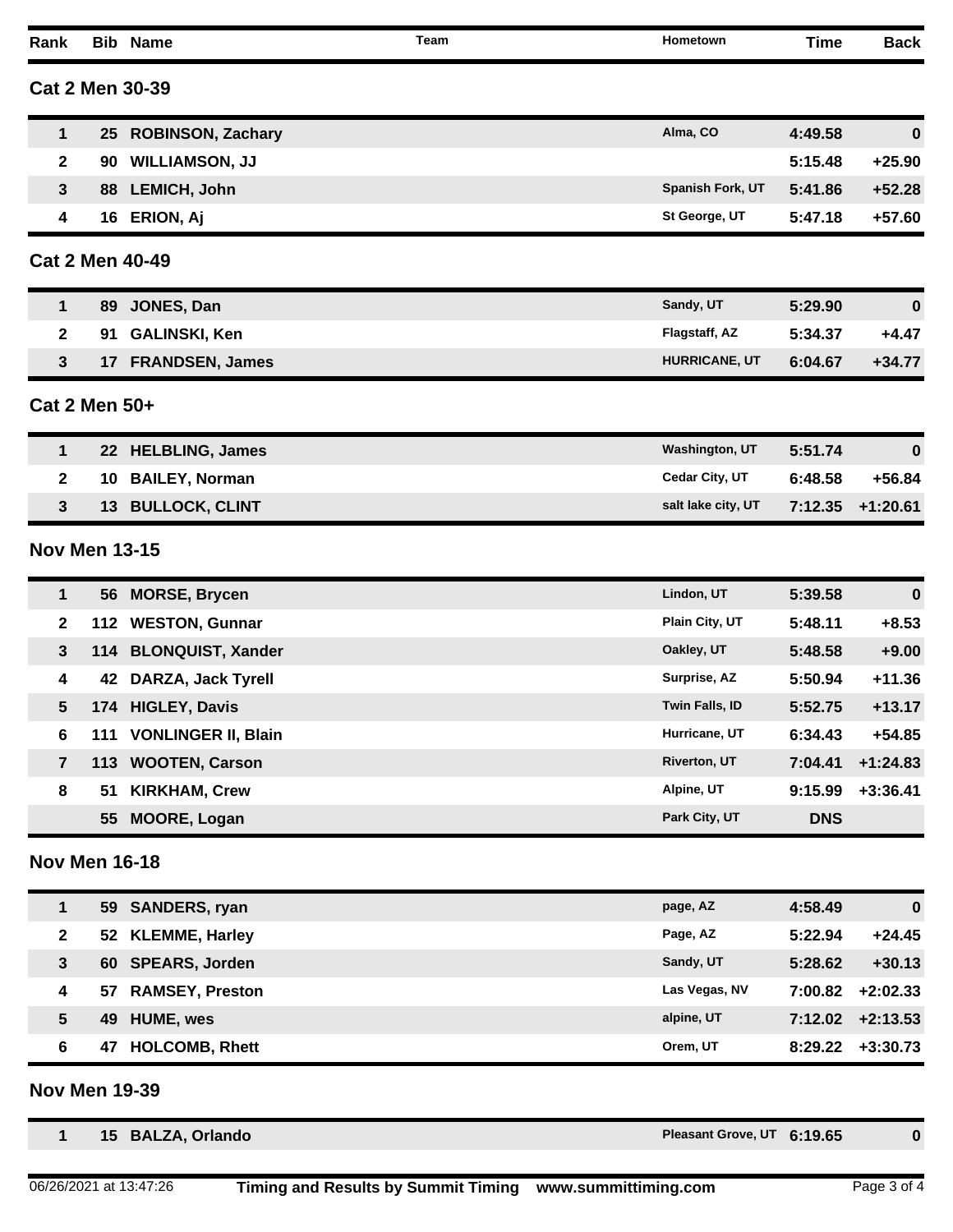| Rank                 |                 | <b>Bib Name</b>          | Team | Hometown                   | <b>Time</b> | <b>Back</b> |
|----------------------|-----------------|--------------------------|------|----------------------------|-------------|-------------|
|                      |                 | <b>Cat 2 Men 30-39</b>   |      |                            |             |             |
| 1                    | 25 <sub>2</sub> | <b>ROBINSON, Zachary</b> |      | Alma, CO                   | 4:49.58     | $\bf{0}$    |
| $\mathbf{2}$         | 90              | <b>WILLIAMSON, JJ</b>    |      |                            | 5:15.48     | $+25.90$    |
| 3                    | 88              | <b>LEMICH, John</b>      |      | Spanish Fork, UT           | 5:41.86     | $+52.28$    |
| 4                    |                 | 16 ERION, Aj             |      | St George, UT              | 5:47.18     | $+57.60$    |
|                      |                 | <b>Cat 2 Men 40-49</b>   |      |                            |             |             |
| 1                    | 89              | JONES, Dan               |      | Sandy, UT                  | 5:29.90     | $\bf{0}$    |
| 2                    | 91              | <b>GALINSKI, Ken</b>     |      | Flagstaff, AZ              | 5:34.37     | $+4.47$     |
| 3                    | 17              | <b>FRANDSEN, James</b>   |      | HURRICANE, UT              | 6:04.67     | $+34.77$    |
| Cat 2 Men 50+        |                 |                          |      |                            |             |             |
| 1                    | 22 <sub>2</sub> | <b>HELBLING, James</b>   |      | <b>Washington, UT</b>      | 5:51.74     | $\bf{0}$    |
| $\mathbf{2}$         | 10              | <b>BAILEY, Norman</b>    |      | Cedar City, UT             | 6:48.58     | $+56.84$    |
| 3                    | 13              | <b>BULLOCK, CLINT</b>    |      | salt lake city, UT         | 7:12.35     | $+1:20.61$  |
| <b>Nov Men 13-15</b> |                 |                          |      |                            |             |             |
| 1                    |                 | 56 MORSE, Brycen         |      | Lindon, UT                 | 5:39.58     | $\bf{0}$    |
| 2                    | 112             | <b>WESTON, Gunnar</b>    |      | Plain City, UT             | 5:48.11     | $+8.53$     |
| 3                    | 114             | <b>BLONQUIST, Xander</b> |      | Oakley, UT                 | 5:48.58     | $+9.00$     |
| 4                    | 42              | DARZA, Jack Tyrell       |      | Surprise, AZ               | 5:50.94     | $+11.36$    |
| 5                    |                 | 174 HIGLEY, Davis        |      | Twin Falls, ID             | 5:52.75     | $+13.17$    |
| 6                    |                 | 111 VONLINGER II, Blain  |      | Hurricane, UT              | 6:34.43     | $+54.85$    |
| $\overline{7}$       |                 | 113 WOOTEN, Carson       |      | <b>Riverton, UT</b>        | 7:04.41     | $+1:24.83$  |
| 8                    | 51              | <b>KIRKHAM, Crew</b>     |      | Alpine, UT                 | 9:15.99     | $+3:36.41$  |
|                      | 55              | <b>MOORE, Logan</b>      |      | Park City, UT              | <b>DNS</b>  |             |
| <b>Nov Men 16-18</b> |                 |                          |      |                            |             |             |
| 1                    | 59              | <b>SANDERS, ryan</b>     |      | page, AZ                   | 4:58.49     | $\bf{0}$    |
| $\mathbf{2}$         | 52              | <b>KLEMME, Harley</b>    |      | Page, AZ                   | 5:22.94     | $+24.45$    |
| $\mathbf{3}$         |                 | 60 SPEARS, Jorden        |      | Sandy, UT                  | 5:28.62     | $+30.13$    |
| 4                    | 57              | <b>RAMSEY, Preston</b>   |      | Las Vegas, NV              | 7:00.82     | $+2:02.33$  |
| $5\phantom{.0}$      | 49              | <b>HUME, wes</b>         |      | alpine, UT                 | 7:12.02     | $+2:13.53$  |
| 6                    | 47              | <b>HOLCOMB, Rhett</b>    |      | Orem, UT                   | 8:29.22     | $+3:30.73$  |
| <b>Nov Men 19-39</b> |                 |                          |      |                            |             |             |
| 1                    |                 | 15 BALZA, Orlando        |      | Pleasant Grove, UT 6:19.65 |             | 0           |